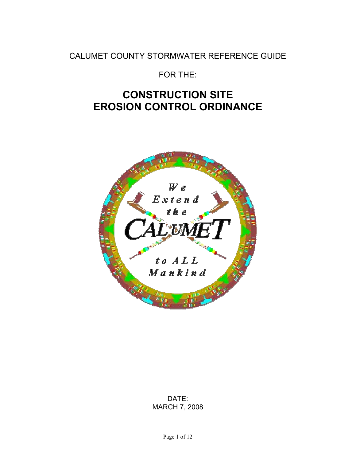# CALUMET COUNTY STORMWATER REFERENCE GUIDE

FOR THE:

# **CONSTRUCTION SITE EROSION CONTROL ORDINANCE**



# DATE: MARCH 7, 2008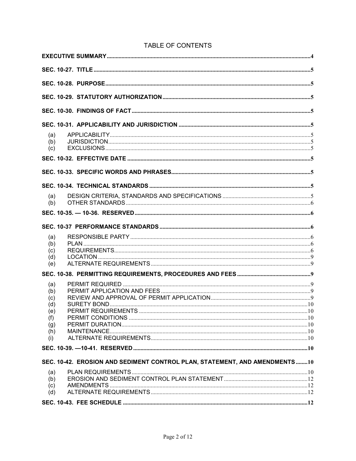| (a)                                                                        |  |
|----------------------------------------------------------------------------|--|
| (b)<br>(c)                                                                 |  |
|                                                                            |  |
|                                                                            |  |
|                                                                            |  |
|                                                                            |  |
| (a)                                                                        |  |
| (b)                                                                        |  |
|                                                                            |  |
|                                                                            |  |
| (a)<br>(b)                                                                 |  |
| (c)                                                                        |  |
| (d)<br>(e)                                                                 |  |
|                                                                            |  |
| (a)                                                                        |  |
| (b)                                                                        |  |
| (c)<br>(d)                                                                 |  |
| (e)                                                                        |  |
| (f)<br>(g)                                                                 |  |
| (h)                                                                        |  |
| (i)                                                                        |  |
|                                                                            |  |
| SEC. 10-42. EROSION AND SEDIMENT CONTROL PLAN, STATEMENT, AND AMENDMENTS10 |  |
| (a)                                                                        |  |
| (b)<br>(c)                                                                 |  |
| (d)                                                                        |  |
|                                                                            |  |

# TABLE OF CONTENTS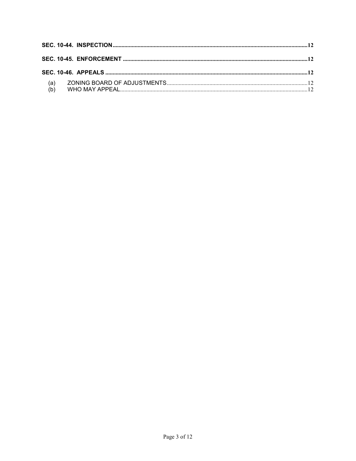| (a) |  |  |
|-----|--|--|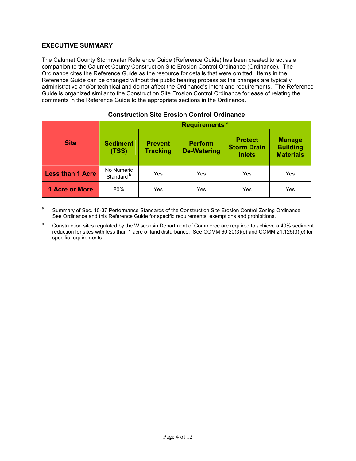# **EXECUTIVE SUMMARY**

The Calumet County Stormwater Reference Guide (Reference Guide) has been created to act as a companion to the Calumet County Construction Site Erosion Control Ordinance (Ordinance). The Ordinance cites the Reference Guide as the resource for details that were omitted. Items in the Reference Guide can be changed without the public hearing process as the changes are typically administrative and/or technical and do not affect the Ordinance's intent and requirements. The Reference Guide is organized similar to the Construction Site Erosion Control Ordinance for ease of relating the comments in the Reference Guide to the appropriate sections in the Ordinance.

| <b>Construction Site Erosion Control Ordinance</b> |                                     |                                   |                                      |                                                       |                                                      |  |  |  |  |
|----------------------------------------------------|-------------------------------------|-----------------------------------|--------------------------------------|-------------------------------------------------------|------------------------------------------------------|--|--|--|--|
|                                                    | Requirements <sup>a</sup>           |                                   |                                      |                                                       |                                                      |  |  |  |  |
| <b>Site</b>                                        | <b>Sediment</b><br>(TSS)            | <b>Prevent</b><br><b>Tracking</b> | <b>Perform</b><br><b>De-Watering</b> | <b>Protect</b><br><b>Storm Drain</b><br><b>Inlets</b> | <b>Manage</b><br><b>Building</b><br><b>Materials</b> |  |  |  |  |
| <b>Less than 1 Acre</b>                            | No Numeric<br>Standard <sup>b</sup> | Yes                               | Yes                                  | Yes                                                   | Yes                                                  |  |  |  |  |
| <b>1 Acre or More</b>                              | 80%                                 | Yes                               | Yes                                  | Yes                                                   | Yes                                                  |  |  |  |  |

a Summary of Sec. 10-37 Performance Standards of the Construction Site Erosion Control Zoning Ordinance. See Ordinance and this Reference Guide for specific requirements, exemptions and prohibitions.

b Construction sites regulated by the Wisconsin Department of Commerce are required to achieve a 40% sediment reduction for sites with less than 1 acre of land disturbance. See COMM 60.20(3)(c) and COMM 21.125(3)(c) for specific requirements.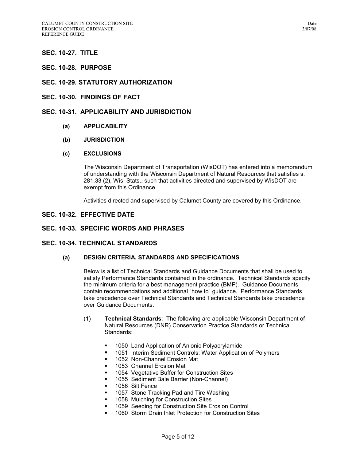# **SEC. 10-27. TITLE**

# **SEC. 10-28. PURPOSE**

# **SEC. 10-29. STATUTORY AUTHORIZATION**

## **SEC. 10-30. FINDINGS OF FACT**

# **SEC. 10-31. APPLICABILITY AND JURISDICTION**

- **(a) APPLICABILITY**
- **(b) JURISDICTION**

#### **(c) EXCLUSIONS**

The Wisconsin Department of Transportation (WisDOT) has entered into a memorandum of understanding with the Wisconsin Department of Natural Resources that satisfies s. 281.33 (2), Wis. Stats., such that activities directed and supervised by WisDOT are exempt from this Ordinance.

Activities directed and supervised by Calumet County are covered by this Ordinance.

# **SEC. 10-32. EFFECTIVE DATE**

# **SEC. 10-33. SPECIFIC WORDS AND PHRASES**

# **SEC. 10-34. TECHNICAL STANDARDS**

#### **(a) DESIGN CRITERIA, STANDARDS AND SPECIFICATIONS**

Below is a list of Technical Standards and Guidance Documents that shall be used to satisfy Performance Standards contained in the ordinance. Technical Standards specify the minimum criteria for a best management practice (BMP). Guidance Documents contain recommendations and additional "how to" guidance. Performance Standards take precedence over Technical Standards and Technical Standards take precedence over Guidance Documents.

- (1) **Technical Standards**: The following are applicable Wisconsin Department of Natural Resources (DNR) Conservation Practice Standards or Technical Standards:
	- **1050 Land Application of Anionic Polyacrylamide**
	- 1051 Interim Sediment Controls: Water Application of Polymers
	- **1052 Non-Channel Erosion Mat**
	- 1053 Channel Erosion Mat
	- **1054 Vegetative Buffer for Construction Sites**
	- 1055 Sediment Bale Barrier (Non-Channel)
	- 1056 Silt Fence
	- **1057 Stone Tracking Pad and Tire Washing**
	- 1058 Mulching for Construction Sites
	- **1059 Seeding for Construction Site Erosion Control**
	- 1060 Storm Drain Inlet Protection for Construction Sites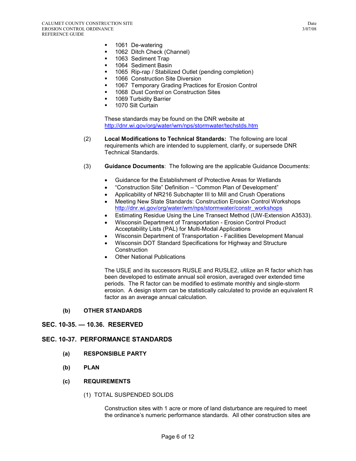- **1061 De-watering**
- **1062 Ditch Check (Channel)**
- 1063 Sediment Trap
- **1064 Sediment Basin**
- **1065 Rip-rap / Stabilized Outlet (pending completion)**
- 1066 Construction Site Diversion
- **1067 Temporary Grading Practices for Erosion Control**
- 1068 Dust Control on Construction Sites
- **1069 Turbidity Barrier**<br>**1070 Silt Curtain**
- 1070 Silt Curtain

These standards may be found on the DNR website at http://dnr.wi.gov/org/water/wm/nps/stormwater/techstds.htm

- (2) **Local Modifications to Technical Standards:** The following are local requirements which are intended to supplement, clarify, or supersede DNR Technical Standards.
- (3) **Guidance Documents**: The following are the applicable Guidance Documents:
	- Guidance for the Establishment of Protective Areas for Wetlands
	- "Construction Site" Definition "Common Plan of Development"
	- Applicability of NR216 Subchapter III to Mill and Crush Operations
	- Meeting New State Standards: Construction Erosion Control Workshops http://dnr.wi.gov/org/water/wm/nps/stormwater/constr\_workshops
	- Estimating Residue Using the Line Transect Method (UW-Extension A3533).
	- Wisconsin Department of Transportation Erosion Control Product Acceptability Lists (PAL) for Multi-Modal Applications
	- Wisconsin Department of Transportation Facilities Development Manual
	- Wisconsin DOT Standard Specifications for Highway and Structure **Construction**
	- **Other National Publications**

The USLE and its successors RUSLE and RUSLE2, utilize an R factor which has been developed to estimate annual soil erosion, averaged over extended time periods. The R factor can be modified to estimate monthly and single-storm erosion. A design storm can be statistically calculated to provide an equivalent R factor as an average annual calculation.

#### **(b) OTHER STANDARDS**

#### **SEC. 10-35. — 10.36. RESERVED**

# **SEC. 10-37. PERFORMANCE STANDARDS**

- **(a) RESPONSIBLE PARTY**
- **(b) PLAN**

#### **(c) REQUIREMENTS**

(1) TOTAL SUSPENDED SOLIDS

Construction sites with 1 acre or more of land disturbance are required to meet the ordinance's numeric performance standards. All other construction sites are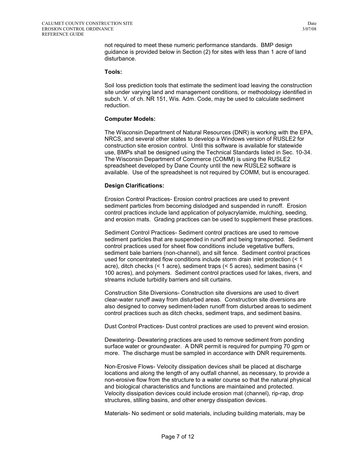not required to meet these numeric performance standards. BMP design guidance is provided below in Section (2) for sites with less than 1 acre of land disturbance.

#### **Tools:**

Soil loss prediction tools that estimate the sediment load leaving the construction site under varying land and management conditions, or methodology identified in subch. V. of ch. NR 151, Wis. Adm. Code, may be used to calculate sediment reduction.

#### **Computer Models:**

The Wisconsin Department of Natural Resources (DNR) is working with the EPA, NRCS, and several other states to develop a Windows version of RUSLE2 for construction site erosion control. Until this software is available for statewide use, BMPs shall be designed using the Technical Standards listed in Sec. 10-34. The Wisconsin Department of Commerce (COMM) is using the RUSLE2 spreadsheet developed by Dane County until the new RUSLE2 software is available. Use of the spreadsheet is not required by COMM, but is encouraged.

#### **Design Clarifications:**

Erosion Control Practices- Erosion control practices are used to prevent sediment particles from becoming dislodged and suspended in runoff. Erosion control practices include land application of polyacrylamide, mulching, seeding, and erosion mats. Grading practices can be used to supplement these practices.

Sediment Control Practices- Sediment control practices are used to remove sediment particles that are suspended in runoff and being transported. Sediment control practices used for sheet flow conditions include vegetative buffers, sediment bale barriers (non-channel), and silt fence. Sediment control practices used for concentrated flow conditions include storm drain inlet protection (< 1 acre), ditch checks (< 1 acre), sediment traps (< 5 acres), sediment basins (< 100 acres), and polymers. Sediment control practices used for lakes, rivers, and streams include turbidity barriers and silt curtains.

Construction Site Diversions- Construction site diversions are used to divert clear-water runoff away from disturbed areas. Construction site diversions are also designed to convey sediment-laden runoff from disturbed areas to sediment control practices such as ditch checks, sediment traps, and sediment basins.

Dust Control Practices- Dust control practices are used to prevent wind erosion.

Dewatering- Dewatering practices are used to remove sediment from ponding surface water or groundwater. A DNR permit is required for pumping 70 gpm or more. The discharge must be sampled in accordance with DNR requirements.

Non-Erosive Flows- Velocity dissipation devices shall be placed at discharge locations and along the length of any outfall channel, as necessary, to provide a non-erosive flow from the structure to a water course so that the natural physical and biological characteristics and functions are maintained and protected. Velocity dissipation devices could include erosion mat (channel), rip-rap, drop structures, stilling basins, and other energy dissipation devices.

Materials- No sediment or solid materials, including building materials, may be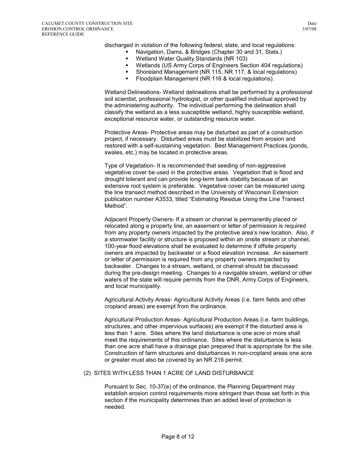discharged in violation of the following federal, state, and local regulations:

- Navigation, Dams, & Bridges (Chapter 30 and 31, Stats.)
- Wetland Water Quality Standards (NR 103)
- Wetlands (US Army Corps of Engineers Section 404 regulations)
- Shoreland Management (NR 115, NR 117, & local regulations)
- Floodplain Management (NR 116 & local regulations).

Wetland Delineations- Wetland delineations shall be performed by a professional soil scientist, professional hydrologist, or other qualified individual approved by the administering authority. The individual performing the delineation shall classify the wetland as a less susceptible wetland, highly susceptible wetland, exceptional resource water, or outstanding resource water.

Protective Areas- Protective areas may be disturbed as part of a construction project, if necessary. Disturbed areas must be stabilized from erosion and restored with a self-sustaining vegetation. Best Management Practices (ponds, swales, etc.) may be located in protective areas.

Type of Vegetation- It is recommended that seeding of non-aggressive vegetative cover be used in the protective areas. Vegetation that is flood and drought tolerant and can provide long-term bank stability because of an extensive root system is preferable. Vegetative cover can be measured using the line transect method described in the University of Wisconsin Extension publication number A3533, titled "Estimating Residue Using the Line Transect Method".

Adjacent Property Owners- If a stream or channel is permanently placed or relocated along a property line, an easement or letter of permission is required from any property owners impacted by the protective area's new location. Also, if a stormwater facility or structure is proposed within an onsite stream or channel, 100-year flood elevations shall be evaluated to determine if offsite property owners are impacted by backwater or a flood elevation increase. An easement or letter of permission is required from any property owners impacted by backwater. Changes to a stream, wetland, or channel should be discussed during the pre-design meeting. Changes to a navigable stream, wetland or other waters of the state will require permits from the DNR, Army Corps of Engineers, and local municipality.

Agricultural Activity Areas- Agricultural Activity Areas (i.e. farm fields and other cropland areas) are exempt from the ordinance.

Agricultural Production Areas- Agricultural Production Areas (i.e. farm buildings, structures, and other impervious surfaces) are exempt if the disturbed area is less than 1 acre. Sites where the land disturbance is one acre or more shall meet the requirements of this ordinance. Sites where the disturbance is less than one acre shall have a drainage plan prepared that is appropriate for the site. Construction of farm structures and disturbances in non-cropland areas one acre or greater must also be covered by an NR 216 permit.

#### (2) SITES WITH LESS THAN 1 ACRE OF LAND DISTURBANCE

Pursuant to Sec. 10-37(e) of the ordinance, the Planning Department may establish erosion control requirements more stringent than those set forth in this section if the municipality determines than an added level of protection is needed.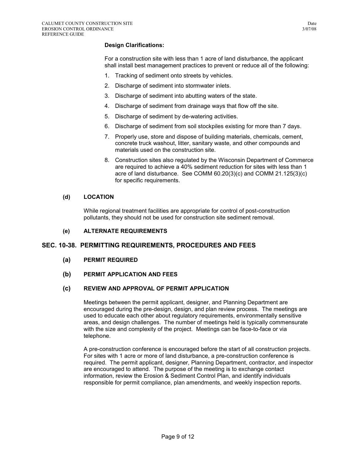# **Design Clarifications:**

For a construction site with less than 1 acre of land disturbance, the applicant shall install best management practices to prevent or reduce all of the following:

- 1. Tracking of sediment onto streets by vehicles.
- 2. Discharge of sediment into stormwater inlets.
- 3. Discharge of sediment into abutting waters of the state.
- 4. Discharge of sediment from drainage ways that flow off the site.
- 5. Discharge of sediment by de-watering activities.
- 6. Discharge of sediment from soil stockpiles existing for more than 7 days.
- 7. Properly use, store and dispose of building materials, chemicals, cement, concrete truck washout, litter, sanitary waste, and other compounds and materials used on the construction site.
- 8. Construction sites also regulated by the Wisconsin Department of Commerce are required to achieve a 40% sediment reduction for sites with less than 1 acre of land disturbance. See COMM 60.20(3)(c) and COMM 21.125(3)(c) for specific requirements.

#### **(d) LOCATION**

While regional treatment facilities are appropriate for control of post-construction pollutants, they should not be used for construction site sediment removal.

#### **(e) ALTERNATE REQUIREMENTS**

#### **SEC. 10-38. PERMITTING REQUIREMENTS, PROCEDURES AND FEES**

- **(a) PERMIT REQUIRED**
- **(b) PERMIT APPLICATION AND FEES**

#### **(c) REVIEW AND APPROVAL OF PERMIT APPLICATION**

Meetings between the permit applicant, designer, and Planning Department are encouraged during the pre-design, design, and plan review process. The meetings are used to educate each other about regulatory requirements, environmentally sensitive areas, and design challenges. The number of meetings held is typically commensurate with the size and complexity of the project. Meetings can be face-to-face or via telephone.

A pre-construction conference is encouraged before the start of all construction projects. For sites with 1 acre or more of land disturbance, a pre-construction conference is required. The permit applicant, designer, Planning Department, contractor, and inspector are encouraged to attend. The purpose of the meeting is to exchange contact information, review the Erosion & Sediment Control Plan, and identify individuals responsible for permit compliance, plan amendments, and weekly inspection reports.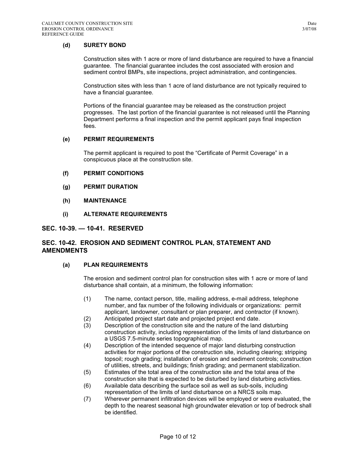Construction sites with 1 acre or more of land disturbance are required to have a financial guarantee. The financial guarantee includes the cost associated with erosion and sediment control BMPs, site inspections, project administration, and contingencies.

Construction sites with less than 1 acre of land disturbance are not typically required to have a financial guarantee.

Portions of the financial guarantee may be released as the construction project progresses. The last portion of the financial guarantee is not released until the Planning Department performs a final inspection and the permit applicant pays final inspection fees.

#### **(e) PERMIT REQUIREMENTS**

The permit applicant is required to post the "Certificate of Permit Coverage" in a conspicuous place at the construction site.

- **(f) PERMIT CONDITIONS**
- **(g) PERMIT DURATION**
- **(h) MAINTENANCE**
- **(i) ALTERNATE REQUIREMENTS**

#### **SEC. 10-39. — 10-41. RESERVED**

# **SEC. 10-42. EROSION AND SEDIMENT CONTROL PLAN, STATEMENT AND AMENDMENTS**

#### **(a) PLAN REQUIREMENTS**

The erosion and sediment control plan for construction sites with 1 acre or more of land disturbance shall contain, at a minimum, the following information:

- (1) The name, contact person, title, mailing address, e-mail address, telephone number, and fax number of the following individuals or organizations: permit applicant, landowner, consultant or plan preparer, and contractor (if known).
- (2) Anticipated project start date and projected project end date.
- (3) Description of the construction site and the nature of the land disturbing construction activity, including representation of the limits of land disturbance on a USGS 7.5-minute series topographical map.
- (4) Description of the intended sequence of major land disturbing construction activities for major portions of the construction site, including clearing; stripping topsoil; rough grading; installation of erosion and sediment controls; construction of utilities, streets, and buildings; finish grading; and permanent stabilization.
- (5) Estimates of the total area of the construction site and the total area of the construction site that is expected to be disturbed by land disturbing activities.
- (6) Available data describing the surface soil as well as sub-soils, including representation of the limits of land disturbance on a NRCS soils map.
- (7) Wherever permanent infiltration devices will be employed or were evaluated, the depth to the nearest seasonal high groundwater elevation or top of bedrock shall be identified.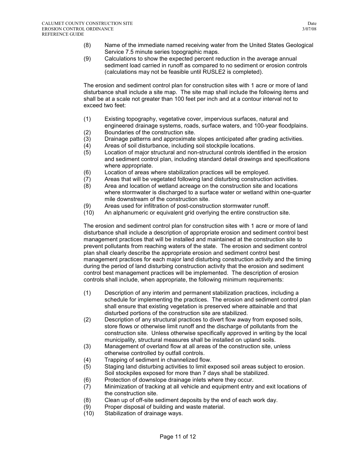- (8) Name of the immediate named receiving water from the United States Geological Service 7.5 minute series topographic maps.
- (9) Calculations to show the expected percent reduction in the average annual sediment load carried in runoff as compared to no sediment or erosion controls (calculations may not be feasible until RUSLE2 is completed).

The erosion and sediment control plan for construction sites with 1 acre or more of land disturbance shall include a site map. The site map shall include the following items and shall be at a scale not greater than 100 feet per inch and at a contour interval not to exceed two feet:

- (1) Existing topography, vegetative cover, impervious surfaces, natural and engineered drainage systems, roads, surface waters, and 100-year floodplains.
- (2) Boundaries of the construction site.
- (3) Drainage patterns and approximate slopes anticipated after grading activities.
- (4) Areas of soil disturbance, including soil stockpile locations.
- (5) Location of major structural and non-structural controls identified in the erosion and sediment control plan, including standard detail drawings and specifications where appropriate.
- (6) Location of areas where stabilization practices will be employed.
- (7) Areas that will be vegetated following land disturbing construction activities.
- (8) Area and location of wetland acreage on the construction site and locations where stormwater is discharged to a surface water or wetland within one-quarter mile downstream of the construction site.
- (9) Areas used for infiltration of post-construction stormwater runoff.
- (10) An alphanumeric or equivalent grid overlying the entire construction site.

The erosion and sediment control plan for construction sites with 1 acre or more of land disturbance shall include a description of appropriate erosion and sediment control best management practices that will be installed and maintained at the construction site to prevent pollutants from reaching waters of the state. The erosion and sediment control plan shall clearly describe the appropriate erosion and sediment control best management practices for each major land disturbing construction activity and the timing during the period of land disturbing construction activity that the erosion and sediment control best management practices will be implemented. The description of erosion controls shall include, when appropriate, the following minimum requirements:

- (1) Description of any interim and permanent stabilization practices, including a schedule for implementing the practices. The erosion and sediment control plan shall ensure that existing vegetation is preserved where attainable and that disturbed portions of the construction site are stabilized.
- (2) Description of any structural practices to divert flow away from exposed soils, store flows or otherwise limit runoff and the discharge of pollutants from the construction site. Unless otherwise specifically approved in writing by the local municipality, structural measures shall be installed on upland soils.
- (3) Management of overland flow at all areas of the construction site, unless otherwise controlled by outfall controls.
- (4) Trapping of sediment in channelized flow.
- (5) Staging land disturbing activities to limit exposed soil areas subject to erosion. Soil stockpiles exposed for more than 7 days shall be stabilized.
- (6) Protection of downslope drainage inlets where they occur.
- (7) Minimization of tracking at all vehicle and equipment entry and exit locations of the construction site.
- (8) Clean up of off-site sediment deposits by the end of each work day.
- (9) Proper disposal of building and waste material.
- (10) Stabilization of drainage ways.